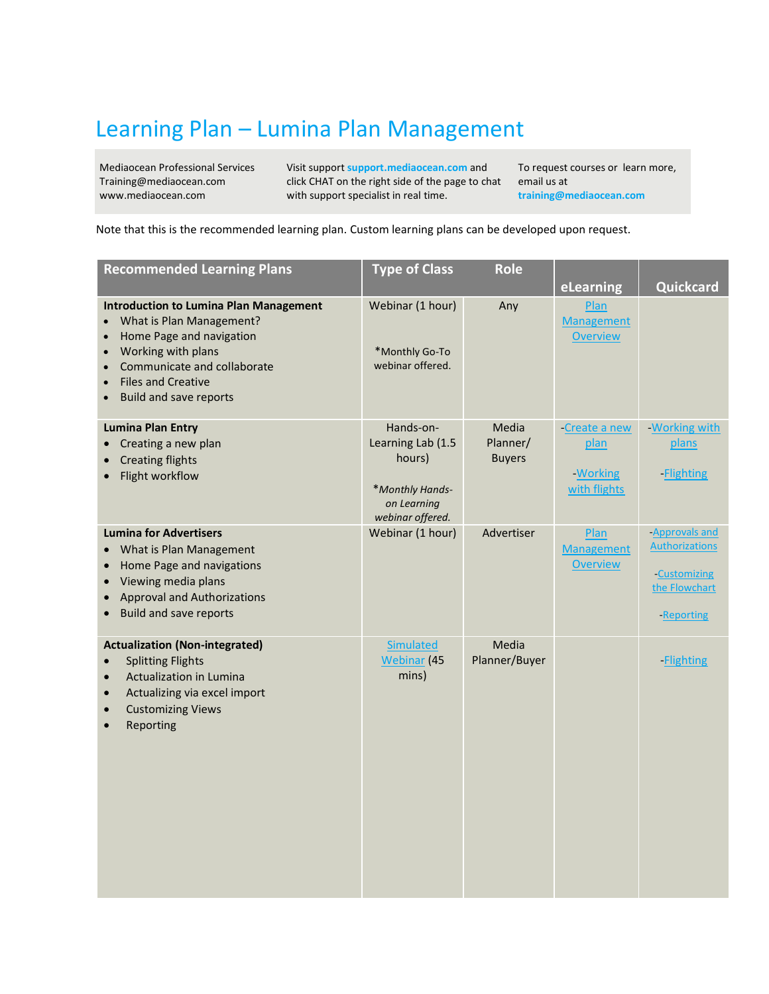## Learning Plan – Lumina Plan Management

Mediaocean Professional Services Training@mediaocean.com www.mediaocean.com

Visit support **support.mediaocean.com** and click CHAT on the right side of the page to chat with support specialist in real time.

To request courses or learn more, email us at **[training@mediaocean.com](file:///C:/Users/SReiddny/Downloads/training@mediaocean.com)**

Note that this is the recommended learning plan. Custom learning plans can be developed upon request.

| <b>Recommended Learning Plans</b>                                                                                                                                                                                                     | <b>Type of Class</b>                                                                           | <b>Role</b>                        |                                                   |                                                                                        |
|---------------------------------------------------------------------------------------------------------------------------------------------------------------------------------------------------------------------------------------|------------------------------------------------------------------------------------------------|------------------------------------|---------------------------------------------------|----------------------------------------------------------------------------------------|
|                                                                                                                                                                                                                                       |                                                                                                |                                    | eLearning                                         | Quickcard                                                                              |
| <b>Introduction to Lumina Plan Management</b><br>What is Plan Management?<br>Home Page and navigation<br>Working with plans<br>Communicate and collaborate<br><b>Files and Creative</b><br>$\bullet$<br><b>Build and save reports</b> | Webinar (1 hour)<br>*Monthly Go-To<br>webinar offered.                                         | Any                                | Plan<br><b>Management</b><br><b>Overview</b>      |                                                                                        |
| <b>Lumina Plan Entry</b><br>Creating a new plan<br>$\bullet$<br><b>Creating flights</b><br>Flight workflow<br>$\bullet$                                                                                                               | Hands-on-<br>Learning Lab (1.5<br>hours)<br>*Monthly Hands-<br>on Learning<br>webinar offered. | Media<br>Planner/<br><b>Buyers</b> | -Create a new<br>plan<br>-Working<br>with flights | <b>Working with</b><br>plans<br><b>Flighting</b>                                       |
| <b>Lumina for Advertisers</b><br>What is Plan Management<br>Home Page and navigations<br>$\bullet$<br>Viewing media plans<br><b>Approval and Authorizations</b><br>$\bullet$<br><b>Build and save reports</b><br>$\bullet$            | Webinar (1 hour)                                                                               | Advertiser                         | Plan<br><b>Management</b><br><b>Overview</b>      | -Approvals and<br><b>Authorizations</b><br>-Customizing<br>the Flowchart<br>-Reporting |
| <b>Actualization (Non-integrated)</b><br><b>Splitting Flights</b><br>Actualization in Lumina<br>Actualizing via excel import<br>$\bullet$<br><b>Customizing Views</b><br>Reporting<br>$\bullet$                                       | Simulated<br><b>Webinar</b> (45<br>mins)                                                       | Media<br>Planner/Buyer             |                                                   | <b>Flighting</b>                                                                       |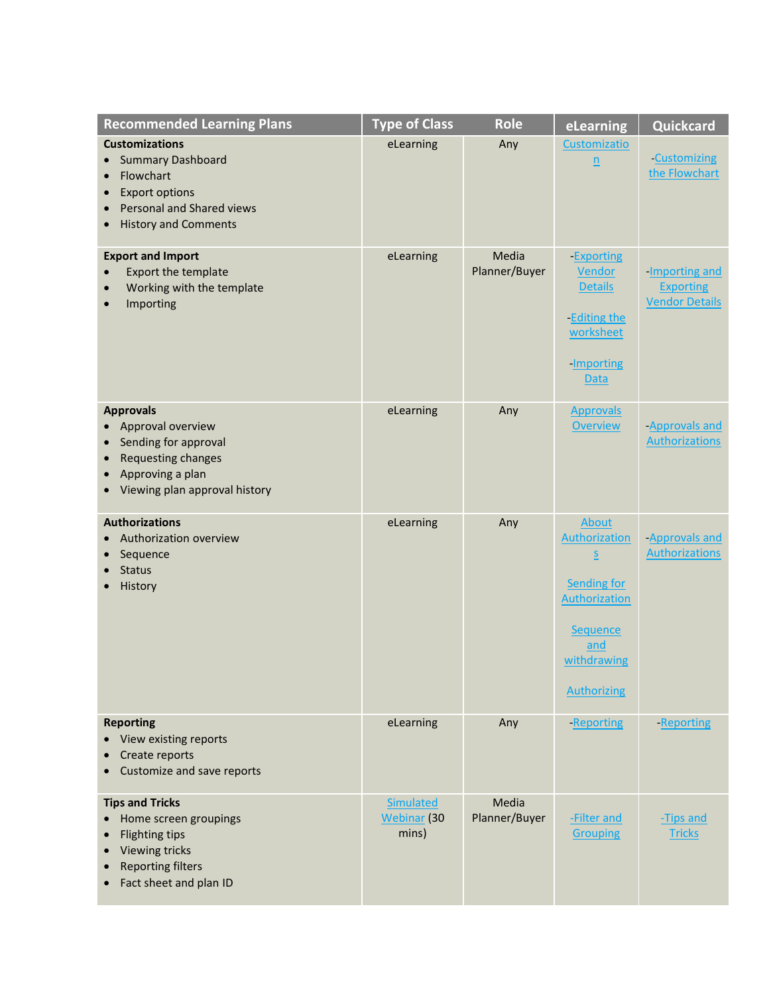| <b>Recommended Learning Plans</b>                                                                                                                                               | <b>Type of Class</b>                            | <b>Role</b>            | eLearning                                                                                                                                               | Quickcard                                                   |
|---------------------------------------------------------------------------------------------------------------------------------------------------------------------------------|-------------------------------------------------|------------------------|---------------------------------------------------------------------------------------------------------------------------------------------------------|-------------------------------------------------------------|
| <b>Customizations</b><br><b>Summary Dashboard</b><br>Flowchart<br><b>Export options</b><br>Personal and Shared views<br>$\bullet$<br><b>History and Comments</b>                | eLearning                                       | Any                    | Customizatio<br>$\underline{n}$                                                                                                                         | <b>Customizing</b><br>the Flowchart                         |
| <b>Export and Import</b><br>Export the template<br>Working with the template<br>$\bullet$<br>Importing                                                                          | eLearning                                       | Media<br>Planner/Buyer | <b>Exporting</b><br>Vendor<br><b>Details</b><br>-Editing the<br>worksheet<br>-Importing<br><b>Data</b>                                                  | -Importing and<br><b>Exporting</b><br><b>Vendor Details</b> |
| <b>Approvals</b><br>Approval overview<br>Sending for approval<br>$\bullet$<br>Requesting changes<br>$\bullet$<br>Approving a plan<br>$\bullet$<br>Viewing plan approval history | eLearning                                       | Any                    | <b>Approvals</b><br><b>Overview</b>                                                                                                                     | -Approvals and<br><b>Authorizations</b>                     |
| <b>Authorizations</b><br>Authorization overview<br>Sequence<br><b>Status</b><br>History                                                                                         | eLearning                                       | Any                    | About<br>Authorization<br>$\overline{\mathsf{S}}$<br><b>Sending for</b><br><b>Authorization</b><br>Sequence<br>and<br>withdrawing<br><b>Authorizing</b> | -Approvals and<br><b>Authorizations</b>                     |
| <b>Reporting</b><br>View existing reports<br>Create reports<br>Customize and save reports                                                                                       | eLearning                                       | Any                    | -Reporting                                                                                                                                              | -Reporting                                                  |
| <b>Tips and Tricks</b><br>Home screen groupings<br><b>Flighting tips</b><br><b>Viewing tricks</b><br><b>Reporting filters</b><br>Fact sheet and plan ID                         | <b>Simulated</b><br><b>Webinar</b> (30<br>mins) | Media<br>Planner/Buyer | -Filter and<br><b>Grouping</b>                                                                                                                          | -Tips and<br><b>Tricks</b>                                  |